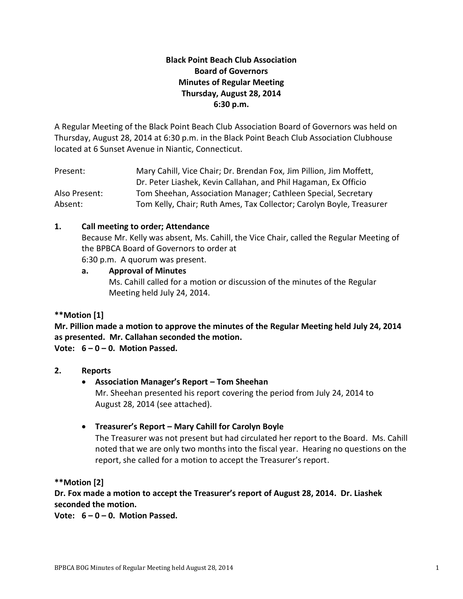# **Black Point Beach Club Association Board of Governors Minutes of Regular Meeting Thursday, August 28, 2014 6:30 p.m.**

A Regular Meeting of the Black Point Beach Club Association Board of Governors was held on Thursday, August 28, 2014 at 6:30 p.m. in the Black Point Beach Club Association Clubhouse located at 6 Sunset Avenue in Niantic, Connecticut.

| Present:      | Mary Cahill, Vice Chair; Dr. Brendan Fox, Jim Pillion, Jim Moffett,  |
|---------------|----------------------------------------------------------------------|
|               | Dr. Peter Liashek, Kevin Callahan, and Phil Hagaman, Ex Officio      |
| Also Present: | Tom Sheehan, Association Manager; Cathleen Special, Secretary        |
| Absent:       | Tom Kelly, Chair; Ruth Ames, Tax Collector; Carolyn Boyle, Treasurer |

# **1. Call meeting to order; Attendance**

Because Mr. Kelly was absent, Ms. Cahill, the Vice Chair, called the Regular Meeting of the BPBCA Board of Governors to order at

6:30 p.m. A quorum was present.

# **a. Approval of Minutes** Ms. Cahill called for a motion or discussion of the minutes of the Regular Meeting held July 24, 2014.

# **\*\*Motion [1]**

**Mr. Pillion made a motion to approve the minutes of the Regular Meeting held July 24, 2014 as presented. Mr. Callahan seconded the motion.**

**Vote: 6 – 0 – 0. Motion Passed.**

# **2. Reports**

# **Association Manager's Report – Tom Sheehan**

Mr. Sheehan presented his report covering the period from July 24, 2014 to August 28, 2014 (see attached).

# **Treasurer's Report – Mary Cahill for Carolyn Boyle**

The Treasurer was not present but had circulated her report to the Board. Ms. Cahill noted that we are only two months into the fiscal year. Hearing no questions on the report, she called for a motion to accept the Treasurer's report.

**\*\*Motion [2]**

**Dr. Fox made a motion to accept the Treasurer's report of August 28, 2014. Dr. Liashek seconded the motion.**

**Vote: 6 – 0 – 0. Motion Passed.**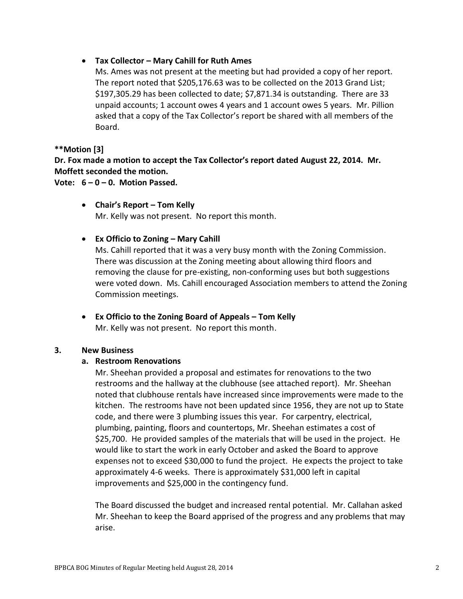# **Tax Collector – Mary Cahill for Ruth Ames**

Ms. Ames was not present at the meeting but had provided a copy of her report. The report noted that \$205,176.63 was to be collected on the 2013 Grand List; \$197,305.29 has been collected to date; \$7,871.34 is outstanding. There are 33 unpaid accounts; 1 account owes 4 years and 1 account owes 5 years. Mr. Pillion asked that a copy of the Tax Collector's report be shared with all members of the Board.

# **\*\*Motion [3]**

**Dr. Fox made a motion to accept the Tax Collector's report dated August 22, 2014. Mr. Moffett seconded the motion.**

**Vote: 6 – 0 – 0. Motion Passed.**

- **Chair's Report – Tom Kelly** Mr. Kelly was not present. No report this month.
- **Ex Officio to Zoning – Mary Cahill**

Ms. Cahill reported that it was a very busy month with the Zoning Commission. There was discussion at the Zoning meeting about allowing third floors and removing the clause for pre-existing, non-conforming uses but both suggestions were voted down. Ms. Cahill encouraged Association members to attend the Zoning Commission meetings.

 **Ex Officio to the Zoning Board of Appeals – Tom Kelly** Mr. Kelly was not present. No report this month.

# **3. New Business**

# **a. Restroom Renovations**

Mr. Sheehan provided a proposal and estimates for renovations to the two restrooms and the hallway at the clubhouse (see attached report). Mr. Sheehan noted that clubhouse rentals have increased since improvements were made to the kitchen. The restrooms have not been updated since 1956, they are not up to State code, and there were 3 plumbing issues this year. For carpentry, electrical, plumbing, painting, floors and countertops, Mr. Sheehan estimates a cost of \$25,700. He provided samples of the materials that will be used in the project. He would like to start the work in early October and asked the Board to approve expenses not to exceed \$30,000 to fund the project. He expects the project to take approximately 4-6 weeks. There is approximately \$31,000 left in capital improvements and \$25,000 in the contingency fund.

The Board discussed the budget and increased rental potential. Mr. Callahan asked Mr. Sheehan to keep the Board apprised of the progress and any problems that may arise.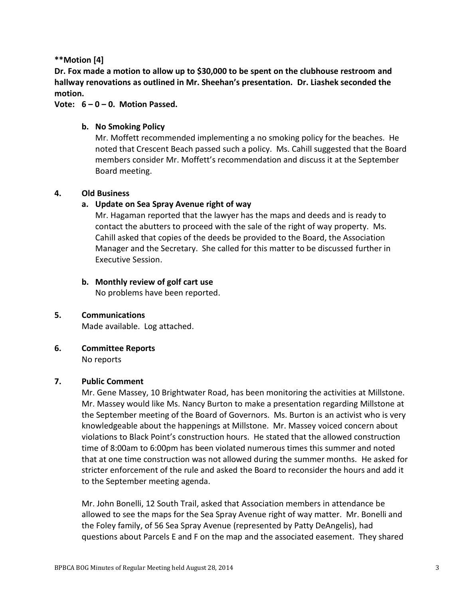# **\*\*Motion [4]**

**Dr. Fox made a motion to allow up to \$30,000 to be spent on the clubhouse restroom and hallway renovations as outlined in Mr. Sheehan's presentation. Dr. Liashek seconded the motion.**

# **Vote: 6 – 0 – 0. Motion Passed.**

# **b. No Smoking Policy**

Mr. Moffett recommended implementing a no smoking policy for the beaches. He noted that Crescent Beach passed such a policy. Ms. Cahill suggested that the Board members consider Mr. Moffett's recommendation and discuss it at the September Board meeting.

# **4. Old Business**

# **a. Update on Sea Spray Avenue right of way**

Mr. Hagaman reported that the lawyer has the maps and deeds and is ready to contact the abutters to proceed with the sale of the right of way property. Ms. Cahill asked that copies of the deeds be provided to the Board, the Association Manager and the Secretary. She called for this matter to be discussed further in Executive Session.

# **b. Monthly review of golf cart use**

No problems have been reported.

# **5. Communications**

Made available. Log attached.

# **6. Committee Reports**

No reports

# **7. Public Comment**

Mr. Gene Massey, 10 Brightwater Road, has been monitoring the activities at Millstone. Mr. Massey would like Ms. Nancy Burton to make a presentation regarding Millstone at the September meeting of the Board of Governors. Ms. Burton is an activist who is very knowledgeable about the happenings at Millstone. Mr. Massey voiced concern about violations to Black Point's construction hours. He stated that the allowed construction time of 8:00am to 6:00pm has been violated numerous times this summer and noted that at one time construction was not allowed during the summer months. He asked for stricter enforcement of the rule and asked the Board to reconsider the hours and add it to the September meeting agenda.

Mr. John Bonelli, 12 South Trail, asked that Association members in attendance be allowed to see the maps for the Sea Spray Avenue right of way matter. Mr. Bonelli and the Foley family, of 56 Sea Spray Avenue (represented by Patty DeAngelis), had questions about Parcels E and F on the map and the associated easement. They shared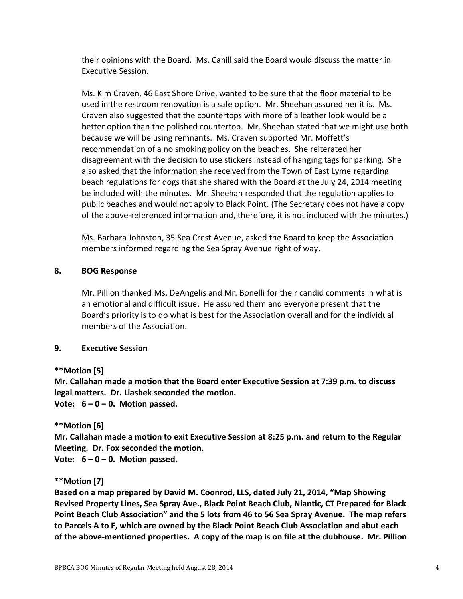their opinions with the Board. Ms. Cahill said the Board would discuss the matter in Executive Session.

Ms. Kim Craven, 46 East Shore Drive, wanted to be sure that the floor material to be used in the restroom renovation is a safe option. Mr. Sheehan assured her it is. Ms. Craven also suggested that the countertops with more of a leather look would be a better option than the polished countertop. Mr. Sheehan stated that we might use both because we will be using remnants. Ms. Craven supported Mr. Moffett's recommendation of a no smoking policy on the beaches. She reiterated her disagreement with the decision to use stickers instead of hanging tags for parking. She also asked that the information she received from the Town of East Lyme regarding beach regulations for dogs that she shared with the Board at the July 24, 2014 meeting be included with the minutes. Mr. Sheehan responded that the regulation applies to public beaches and would not apply to Black Point. (The Secretary does not have a copy of the above-referenced information and, therefore, it is not included with the minutes.)

Ms. Barbara Johnston, 35 Sea Crest Avenue, asked the Board to keep the Association members informed regarding the Sea Spray Avenue right of way.

### **8. BOG Response**

Mr. Pillion thanked Ms. DeAngelis and Mr. Bonelli for their candid comments in what is an emotional and difficult issue. He assured them and everyone present that the Board's priority is to do what is best for the Association overall and for the individual members of the Association.

#### **9. Executive Session**

# **\*\*Motion [5]**

**Mr. Callahan made a motion that the Board enter Executive Session at 7:39 p.m. to discuss legal matters. Dr. Liashek seconded the motion.**

**Vote: 6 – 0 – 0. Motion passed.**

# **\*\*Motion [6]**

**Mr. Callahan made a motion to exit Executive Session at 8:25 p.m. and return to the Regular Meeting. Dr. Fox seconded the motion.** 

**Vote: 6 – 0 – 0. Motion passed.**

# **\*\*Motion [7]**

**Based on a map prepared by David M. Coonrod, LLS, dated July 21, 2014, "Map Showing Revised Property Lines, Sea Spray Ave., Black Point Beach Club, Niantic, CT Prepared for Black Point Beach Club Association" and the 5 lots from 46 to 56 Sea Spray Avenue. The map refers to Parcels A to F, which are owned by the Black Point Beach Club Association and abut each of the above-mentioned properties. A copy of the map is on file at the clubhouse. Mr. Pillion**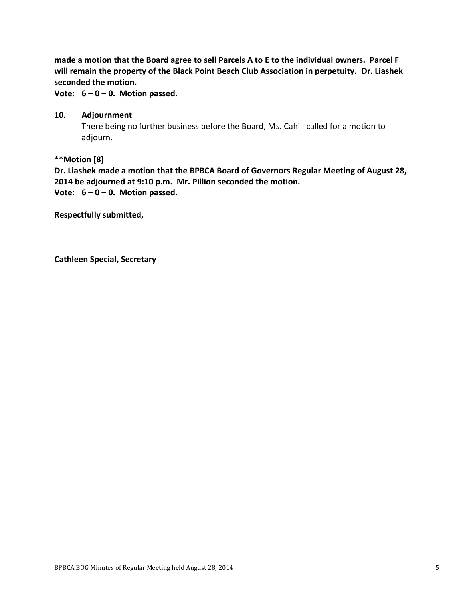**made a motion that the Board agree to sell Parcels A to E to the individual owners. Parcel F will remain the property of the Black Point Beach Club Association in perpetuity. Dr. Liashek seconded the motion.**

**Vote: 6 – 0 – 0. Motion passed.**

# **10. Adjournment**

There being no further business before the Board, Ms. Cahill called for a motion to adjourn.

# **\*\*Motion [8]**

**Dr. Liashek made a motion that the BPBCA Board of Governors Regular Meeting of August 28, 2014 be adjourned at 9:10 p.m. Mr. Pillion seconded the motion. Vote: 6 – 0 – 0. Motion passed.**

**Respectfully submitted,**

**Cathleen Special, Secretary**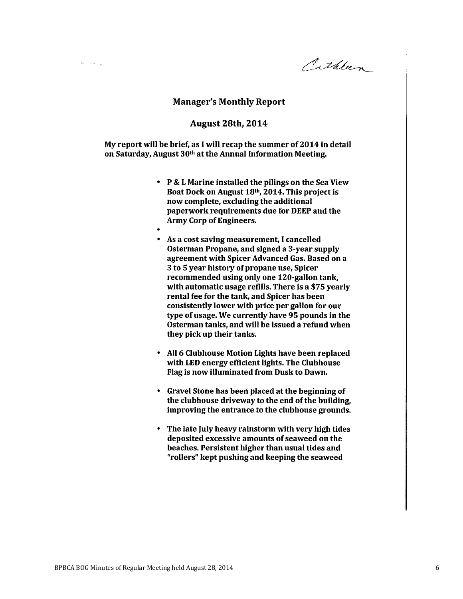Pathlien

#### **Manager's Monthly Report**

 $\sim$   $\sim$   $^{-1}$ 

#### **August 28th, 2014**

My report will be brief, as I will recap the summer of 2014 in detail on Saturday, August 30th at the Annual Information Meeting.

- P & L Marine installed the pilings on the Sea View Boat Dock on August 18th, 2014. This project is now complete, excluding the additional paperwork requirements due for DEEP and the **Army Corp of Engineers.**
- As a cost saving measurement, I cancelled Osterman Propane, and signed a 3-year supply agreement with Spicer Advanced Gas. Based on a 3 to 5 year history of propane use, Spicer recommended using only one 120-gallon tank, with automatic usage refills. There is a \$75 yearly rental fee for the tank, and Spicer has been consistently lower with price per gallon for our type of usage. We currently have 95 pounds in the Osterman tanks, and will be issued a refund when they pick up their tanks.
- All 6 Clubhouse Motion Lights have been replaced with LED energy efficient lights. The Clubhouse Flag is now illuminated from Dusk to Dawn.
- Gravel Stone has been placed at the beginning of the clubhouse driveway to the end of the building, improving the entrance to the clubhouse grounds.
- The late July heavy rainstorm with very high tides  $\bullet$ deposited excessive amounts of seaweed on the beaches. Persistent higher than usual tides and "rollers" kept pushing and keeping the seaweed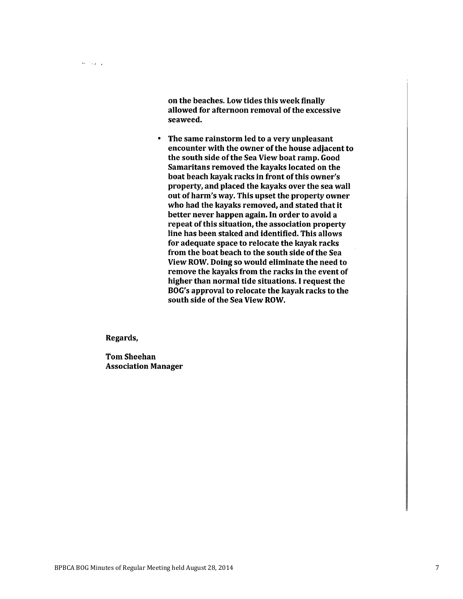on the beaches. Low tides this week finally allowed for afternoon removal of the excessive seaweed.

 $\bullet$ The same rainstorm led to a very unpleasant encounter with the owner of the house adjacent to the south side of the Sea View boat ramp. Good Samaritans removed the kayaks located on the boat beach kayak racks in front of this owner's property, and placed the kayaks over the sea wall out of harm's way. This upset the property owner who had the kayaks removed, and stated that it better never happen again. In order to avoid a repeat of this situation, the association property line has been staked and identified. This allows for adequate space to relocate the kayak racks from the boat beach to the south side of the Sea View ROW. Doing so would eliminate the need to remove the kayaks from the racks in the event of higher than normal tide situations. I request the BOG's approval to relocate the kayak racks to the south side of the Sea View ROW.

Regards,

 $\Omega_{\rm{eff}}\sim 10^{-11}$  k

**Tom Sheehan Association Manager**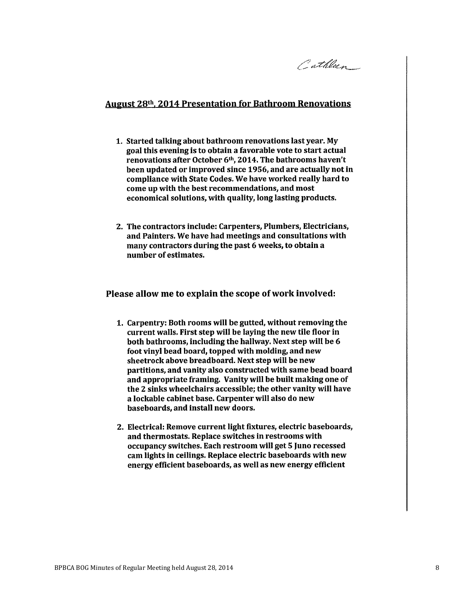Cathleen

#### **August 28th, 2014 Presentation for Bathroom Renovations**

- 1. Started talking about bathroom renovations last year. My goal this evening is to obtain a favorable vote to start actual renovations after October 6<sup>th</sup>, 2014. The bathrooms haven't been updated or improved since 1956, and are actually not in compliance with State Codes. We have worked really hard to come up with the best recommendations, and most economical solutions, with quality, long lasting products.
- 2. The contractors include: Carpenters, Plumbers, Electricians, and Painters. We have had meetings and consultations with many contractors during the past 6 weeks, to obtain a number of estimates.

#### Please allow me to explain the scope of work involved:

- 1. Carpentry: Both rooms will be gutted, without removing the current walls. First step will be laying the new tile floor in both bathrooms, including the hallway. Next step will be 6 foot vinyl bead board, topped with molding, and new sheetrock above breadboard. Next step will be new partitions, and vanity also constructed with same bead board and appropriate framing. Vanity will be built making one of the 2 sinks wheelchairs accessible; the other vanity will have a lockable cabinet base. Carpenter will also do new baseboards, and install new doors.
- 2. Electrical: Remove current light fixtures, electric baseboards, and thermostats. Replace switches in restrooms with occupancy switches. Each restroom will get 5 Juno recessed cam lights in ceilings. Replace electric baseboards with new energy efficient baseboards, as well as new energy efficient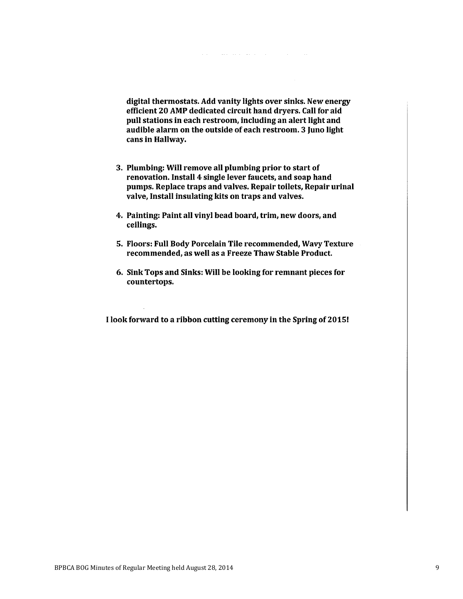digital thermostats. Add vanity lights over sinks. New energy efficient 20 AMP dedicated circuit hand dryers. Call for aid pull stations in each restroom, including an alert light and audible alarm on the outside of each restroom. 3 Juno light cans in Hallway.

- 3. Plumbing: Will remove all plumbing prior to start of renovation. Install 4 single lever faucets, and soap hand pumps. Replace traps and valves. Repair toilets, Repair urinal valve, Install insulating kits on traps and valves.
- 4. Painting: Paint all vinyl bead board, trim, new doors, and ceilings.
- 5. Floors: Full Body Porcelain Tile recommended, Wavy Texture recommended, as well as a Freeze Thaw Stable Product.
- 6. Sink Tops and Sinks: Will be looking for remnant pieces for countertops.

I look forward to a ribbon cutting ceremony in the Spring of 2015!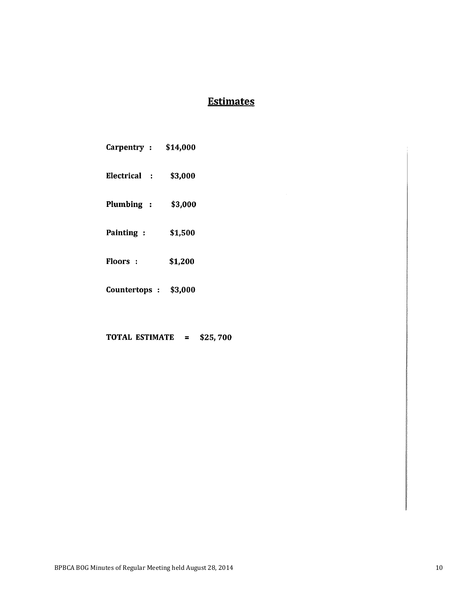# **Estimates**

| Carpentry:                      | \$14,000 |
|---------------------------------|----------|
| Electrical<br>$\sim$ 100 $\sim$ | \$3,000  |
| Plumbing :                      | \$3,000  |
| Painting:                       | \$1,500  |
| <b>Floors</b> :                 | \$1,200  |
| Countertops :                   | \$3,000  |

TOTAL ESTIMATE = \$25,700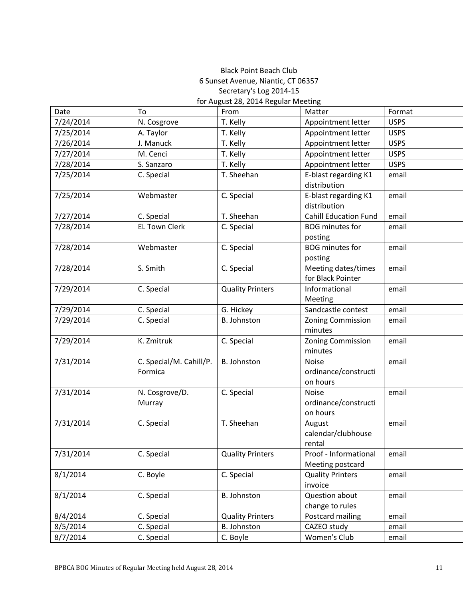### Black Point Beach Club 6 Sunset Avenue, Niantic, CT 06357 Secretary's Log 2014-15 for August 28, 2014 Regular Meeting

| Date      | To                      | From                    | Matter                       | Format      |
|-----------|-------------------------|-------------------------|------------------------------|-------------|
| 7/24/2014 | N. Cosgrove             | T. Kelly                | Appointment letter           | <b>USPS</b> |
| 7/25/2014 | A. Taylor               | T. Kelly                | Appointment letter           | <b>USPS</b> |
| 7/26/2014 | J. Manuck               | T. Kelly                | Appointment letter           | <b>USPS</b> |
| 7/27/2014 | M. Cenci                | T. Kelly                | Appointment letter           | <b>USPS</b> |
| 7/28/2014 | S. Sanzaro              | T. Kelly                | Appointment letter           | <b>USPS</b> |
| 7/25/2014 | C. Special              | T. Sheehan              | E-blast regarding K1         | email       |
|           |                         |                         | distribution                 |             |
| 7/25/2014 | Webmaster               | C. Special              | E-blast regarding K1         | email       |
|           |                         |                         | distribution                 |             |
| 7/27/2014 | C. Special              | T. Sheehan              | <b>Cahill Education Fund</b> | email       |
| 7/28/2014 | <b>EL Town Clerk</b>    | C. Special              | <b>BOG</b> minutes for       | email       |
|           |                         |                         | posting                      |             |
| 7/28/2014 | Webmaster               | C. Special              | <b>BOG</b> minutes for       | email       |
|           |                         |                         | posting                      |             |
| 7/28/2014 | S. Smith                | C. Special              | Meeting dates/times          | email       |
|           |                         |                         | for Black Pointer            |             |
| 7/29/2014 | C. Special              | <b>Quality Printers</b> | Informational                | email       |
|           |                         |                         | Meeting                      |             |
| 7/29/2014 | C. Special              | G. Hickey               | Sandcastle contest           | email       |
| 7/29/2014 | C. Special              | <b>B. Johnston</b>      | Zoning Commission            | email       |
|           |                         |                         | minutes                      |             |
| 7/29/2014 | K. Zmitruk              | C. Special              | Zoning Commission            | email       |
|           |                         |                         | minutes                      |             |
| 7/31/2014 | C. Special/M. Cahill/P. | <b>B. Johnston</b>      | <b>Noise</b>                 | email       |
|           | Formica                 |                         | ordinance/constructi         |             |
|           |                         |                         | on hours                     |             |
| 7/31/2014 | N. Cosgrove/D.          | C. Special              | <b>Noise</b>                 | email       |
|           | Murray                  |                         | ordinance/constructi         |             |
|           |                         |                         | on hours                     |             |
| 7/31/2014 | C. Special              | T. Sheehan              | August                       | email       |
|           |                         |                         | calendar/clubhouse           |             |
|           |                         |                         | rental                       |             |
| 7/31/2014 | C. Special              | <b>Quality Printers</b> | Proof - Informational        | email       |
|           |                         |                         | Meeting postcard             |             |
| 8/1/2014  | C. Boyle                | C. Special              | <b>Quality Printers</b>      | email       |
|           |                         |                         | invoice                      |             |
| 8/1/2014  | C. Special              | <b>B. Johnston</b>      | Question about               | email       |
|           |                         |                         | change to rules              |             |
| 8/4/2014  | C. Special              | <b>Quality Printers</b> | Postcard mailing             | email       |
| 8/5/2014  | C. Special              | <b>B.</b> Johnston      | CAZEO study                  | email       |
| 8/7/2014  | C. Special              | C. Boyle                | Women's Club                 | email       |
|           |                         |                         |                              |             |